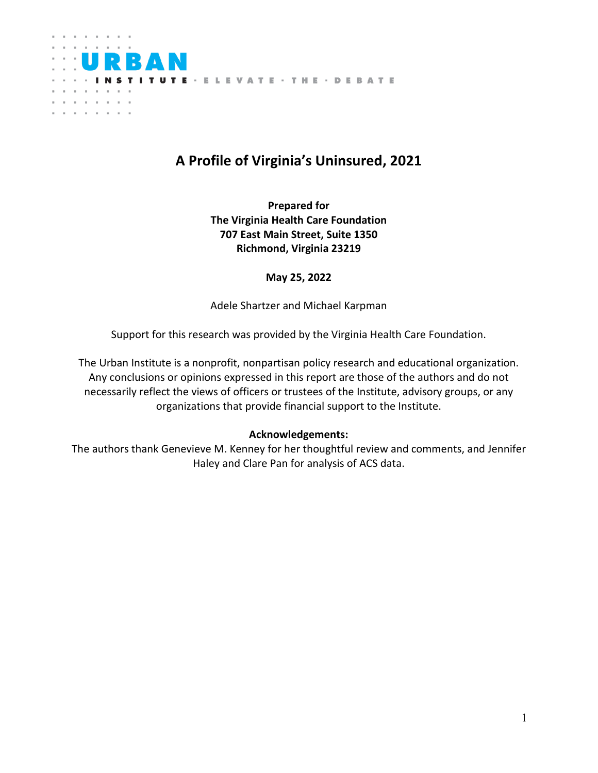

## **A Profile of Virginia's Uninsured, 2021**

**Prepared for The Virginia Health Care Foundation 707 East Main Street, Suite 1350 Richmond, Virginia 23219**

**May 25, 2022**

Adele Shartzer and Michael Karpman

Support for this research was provided by the Virginia Health Care Foundation.

The Urban Institute is a nonprofit, nonpartisan policy research and educational organization. Any conclusions or opinions expressed in this report are those of the authors and do not necessarily reflect the views of officers or trustees of the Institute, advisory groups, or any organizations that provide financial support to the Institute.

#### **Acknowledgements:**

The authors thank Genevieve M. Kenney for her thoughtful review and comments, and Jennifer Haley and Clare Pan for analysis of ACS data.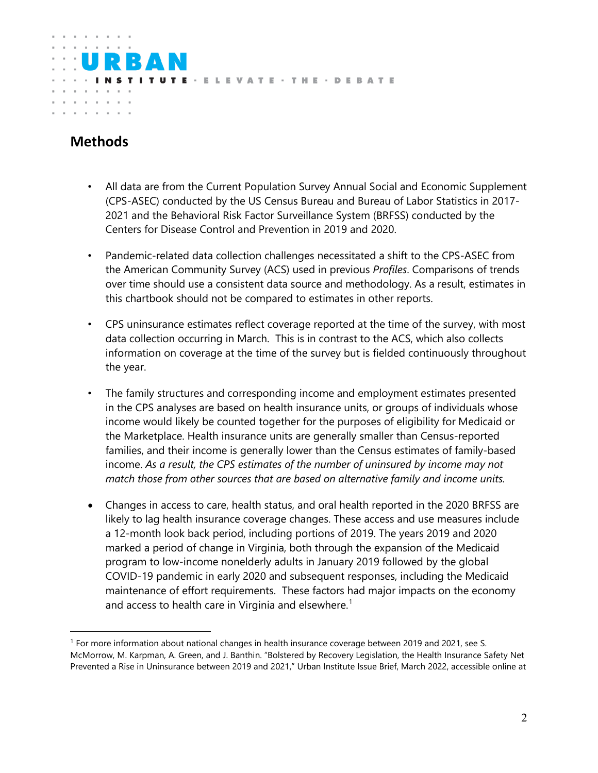

### **Methods**

 $\overline{a}$ 

- All data are from the Current Population Survey Annual Social and Economic Supplement (CPS-ASEC) conducted by the US Census Bureau and Bureau of Labor Statistics in 2017- 2021 and the Behavioral Risk Factor Surveillance System (BRFSS) conducted by the Centers for Disease Control and Prevention in 2019 and 2020.
- Pandemic-related data collection challenges necessitated a shift to the CPS-ASEC from the American Community Survey (ACS) used in previous *Profiles*. Comparisons of trends over time should use a consistent data source and methodology. As a result, estimates in this chartbook should not be compared to estimates in other reports.
- CPS uninsurance estimates reflect coverage reported at the time of the survey, with most data collection occurring in March. This is in contrast to the ACS, which also collects information on coverage at the time of the survey but is fielded continuously throughout the year.
- The family structures and corresponding income and employment estimates presented in the CPS analyses are based on health insurance units, or groups of individuals whose income would likely be counted together for the purposes of eligibility for Medicaid or the Marketplace. Health insurance units are generally smaller than Census-reported families, and their income is generally lower than the Census estimates of family-based income. *As a result, the CPS estimates of the number of uninsured by income may not match those from other sources that are based on alternative family and income units.*
- Changes in access to care, health status, and oral health reported in the 2020 BRFSS are likely to lag health insurance coverage changes. These access and use measures include a 12-month look back period, including portions of 2019. The years 2019 and 2020 marked a period of change in Virginia, both through the expansion of the Medicaid program to low-income nonelderly adults in January 2019 followed by the global COVID-19 pandemic in early 2020 and subsequent responses, including the Medicaid maintenance of effort requirements. These factors had major impacts on the economy and access to health care in Virginia and elsewhere.<sup>[1](#page-1-0)</sup>

<span id="page-1-0"></span><sup>1</sup> For more information about national changes in health insurance coverage between 2019 and 2021, see S. McMorrow, M. Karpman, A. Green, and J. Banthin. "Bolstered by Recovery Legislation, the Health Insurance Safety Net Prevented a Rise in Uninsurance between 2019 and 2021," Urban Institute Issue Brief, March 2022, accessible online at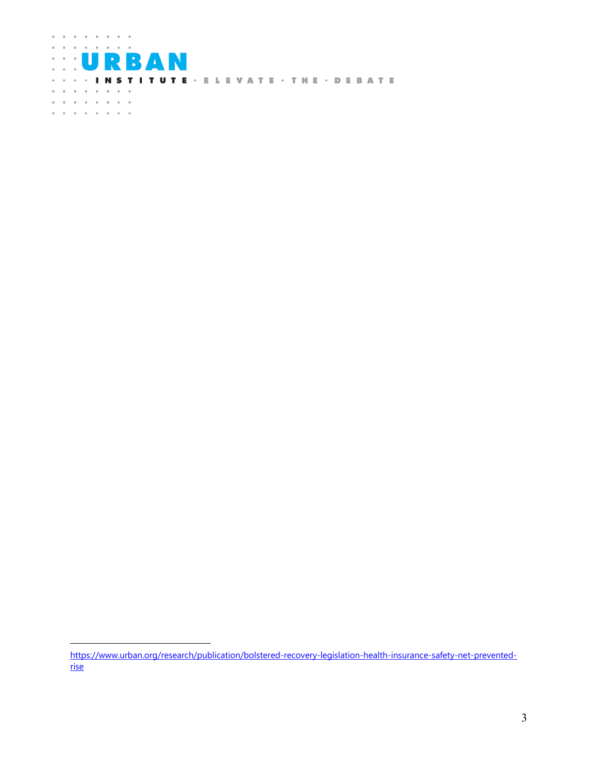

 $\overline{a}$ 

[https://www.urban.org/research/publication/bolstered-recovery-legislation-health-insurance-safety-net-prevented](https://www.urban.org/research/publication/bolstered-recovery-legislation-health-insurance-safety-net-prevented-rise)[rise](https://www.urban.org/research/publication/bolstered-recovery-legislation-health-insurance-safety-net-prevented-rise)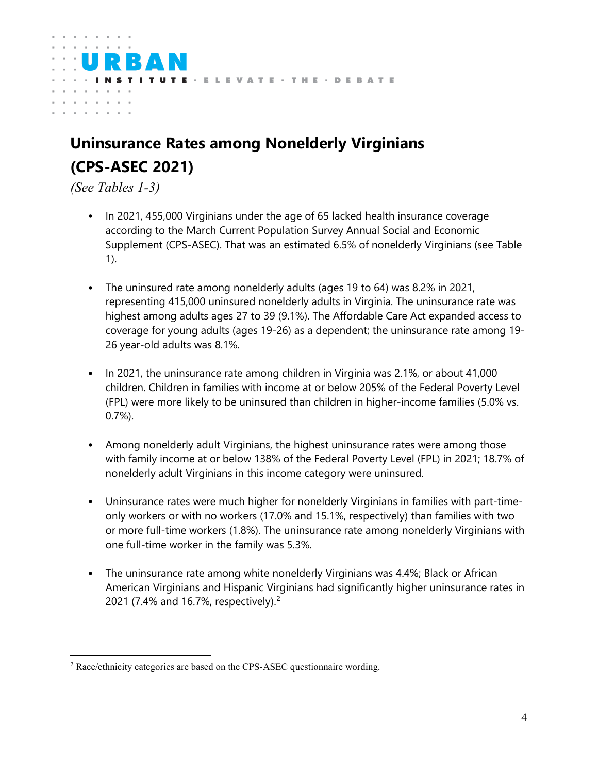

# **Uninsurance Rates among Nonelderly Virginians (CPS-ASEC 2021)**

*(See Tables 1-3)*

- In 2021, 455,000 Virginians under the age of 65 lacked health insurance coverage according to the March Current Population Survey Annual Social and Economic Supplement (CPS-ASEC). That was an estimated 6.5% of nonelderly Virginians (see Table 1).
- The uninsured rate among nonelderly adults (ages 19 to 64) was 8.2% in 2021, representing 415,000 uninsured nonelderly adults in Virginia. The uninsurance rate was highest among adults ages 27 to 39 (9.1%). The Affordable Care Act expanded access to coverage for young adults (ages 19-26) as a dependent; the uninsurance rate among 19- 26 year-old adults was 8.1%.
- In 2021, the uninsurance rate among children in Virginia was 2.1%, or about 41,000 children. Children in families with income at or below 205% of the Federal Poverty Level (FPL) were more likely to be uninsured than children in higher-income families (5.0% vs. 0.7%).
- Among nonelderly adult Virginians, the highest uninsurance rates were among those with family income at or below 138% of the Federal Poverty Level (FPL) in 2021; 18.7% of nonelderly adult Virginians in this income category were uninsured.
- Uninsurance rates were much higher for nonelderly Virginians in families with part-timeonly workers or with no workers (17.0% and 15.1%, respectively) than families with two or more full-time workers (1.8%). The uninsurance rate among nonelderly Virginians with one full-time worker in the family was 5.3%.
- The uninsurance rate among white nonelderly Virginians was 4.4%; Black or African American Virginians and Hispanic Virginians had significantly higher uninsurance rates in [2](#page-3-0)021 (7.4% and 16.7%, respectively).<sup>2</sup>

<span id="page-3-0"></span> <sup>2</sup> Race/ethnicity categories are based on the CPS-ASEC questionnaire wording.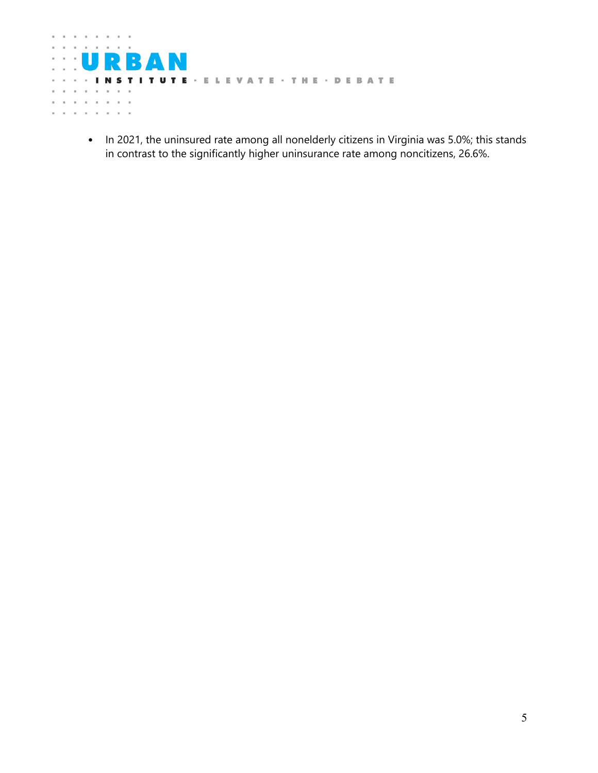

• In 2021, the uninsured rate among all nonelderly citizens in Virginia was 5.0%; this stands in contrast to the significantly higher uninsurance rate among noncitizens, 26.6%.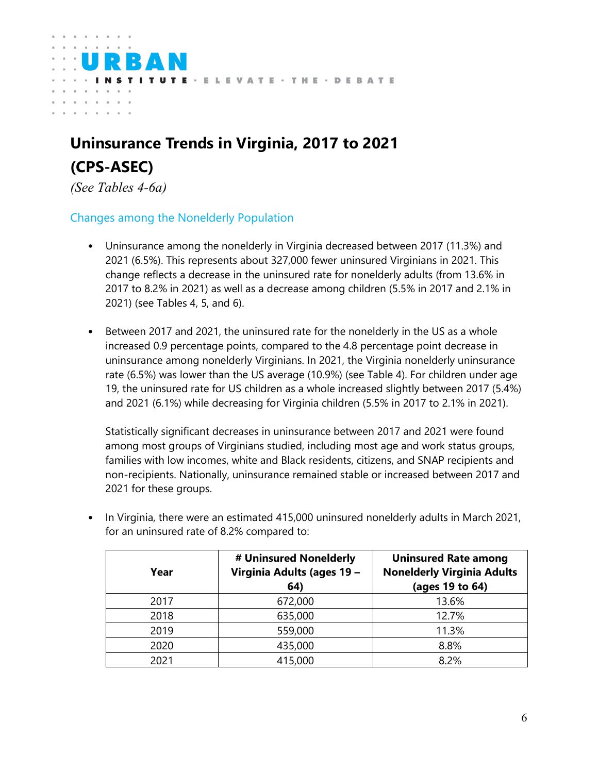

# **Uninsurance Trends in Virginia, 2017 to 2021 (CPS-ASEC)**

*(See Tables 4-6a)*

### Changes among the Nonelderly Population

- Uninsurance among the nonelderly in Virginia decreased between 2017 (11.3%) and 2021 (6.5%). This represents about 327,000 fewer uninsured Virginians in 2021. This change reflects a decrease in the uninsured rate for nonelderly adults (from 13.6% in 2017 to 8.2% in 2021) as well as a decrease among children (5.5% in 2017 and 2.1% in 2021) (see Tables 4, 5, and 6).
- Between 2017 and 2021, the uninsured rate for the nonelderly in the US as a whole increased 0.9 percentage points, compared to the 4.8 percentage point decrease in uninsurance among nonelderly Virginians. In 2021, the Virginia nonelderly uninsurance rate (6.5%) was lower than the US average (10.9%) (see Table 4). For children under age 19, the uninsured rate for US children as a whole increased slightly between 2017 (5.4%) and 2021 (6.1%) while decreasing for Virginia children (5.5% in 2017 to 2.1% in 2021).

Statistically significant decreases in uninsurance between 2017 and 2021 were found among most groups of Virginians studied, including most age and work status groups, families with low incomes, white and Black residents, citizens, and SNAP recipients and non-recipients. Nationally, uninsurance remained stable or increased between 2017 and 2021 for these groups.

• In Virginia, there were an estimated 415,000 uninsured nonelderly adults in March 2021, for an uninsured rate of 8.2% compared to:

| Year | # Uninsured Nonelderly<br>Virginia Adults (ages 19 -<br>64) | <b>Uninsured Rate among</b><br><b>Nonelderly Virginia Adults</b><br>(ages 19 to 64) |
|------|-------------------------------------------------------------|-------------------------------------------------------------------------------------|
| 2017 | 672,000                                                     | 13.6%                                                                               |
| 2018 | 635,000                                                     | 12.7%                                                                               |
| 2019 | 559,000                                                     | 11.3%                                                                               |
| 2020 | 435,000                                                     | 8.8%                                                                                |
| 2021 | 415,000                                                     | 8.2%                                                                                |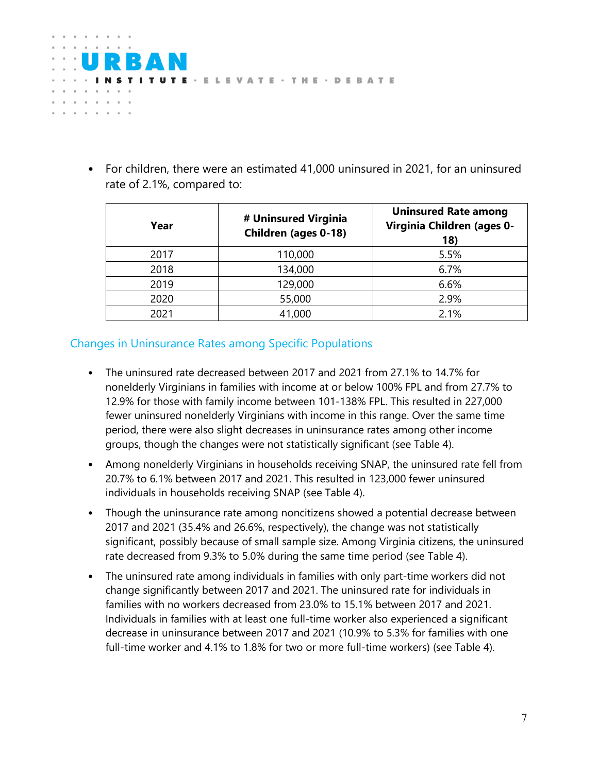

• For children, there were an estimated 41,000 uninsured in 2021, for an uninsured rate of 2.1%, compared to:

| Year | # Uninsured Virginia<br>Children (ages 0-18) | <b>Uninsured Rate among</b><br>Virginia Children (ages 0-<br>18) |
|------|----------------------------------------------|------------------------------------------------------------------|
| 2017 | 110,000                                      | 5.5%                                                             |
| 2018 | 134,000                                      | 6.7%                                                             |
| 2019 | 129,000                                      | 6.6%                                                             |
| 2020 | 55,000                                       | 2.9%                                                             |
| 2021 | 41,000                                       | 2.1%                                                             |

### Changes in Uninsurance Rates among Specific Populations

- The uninsured rate decreased between 2017 and 2021 from 27.1% to 14.7% for nonelderly Virginians in families with income at or below 100% FPL and from 27.7% to 12.9% for those with family income between 101-138% FPL. This resulted in 227,000 fewer uninsured nonelderly Virginians with income in this range. Over the same time period, there were also slight decreases in uninsurance rates among other income groups, though the changes were not statistically significant (see Table 4).
- Among nonelderly Virginians in households receiving SNAP, the uninsured rate fell from 20.7% to 6.1% between 2017 and 2021. This resulted in 123,000 fewer uninsured individuals in households receiving SNAP (see Table 4).
- Though the uninsurance rate among noncitizens showed a potential decrease between 2017 and 2021 (35.4% and 26.6%, respectively), the change was not statistically significant, possibly because of small sample size. Among Virginia citizens, the uninsured rate decreased from 9.3% to 5.0% during the same time period (see Table 4).
- The uninsured rate among individuals in families with only part-time workers did not change significantly between 2017 and 2021. The uninsured rate for individuals in families with no workers decreased from 23.0% to 15.1% between 2017 and 2021. Individuals in families with at least one full-time worker also experienced a significant decrease in uninsurance between 2017 and 2021 (10.9% to 5.3% for families with one full-time worker and 4.1% to 1.8% for two or more full-time workers) (see Table 4).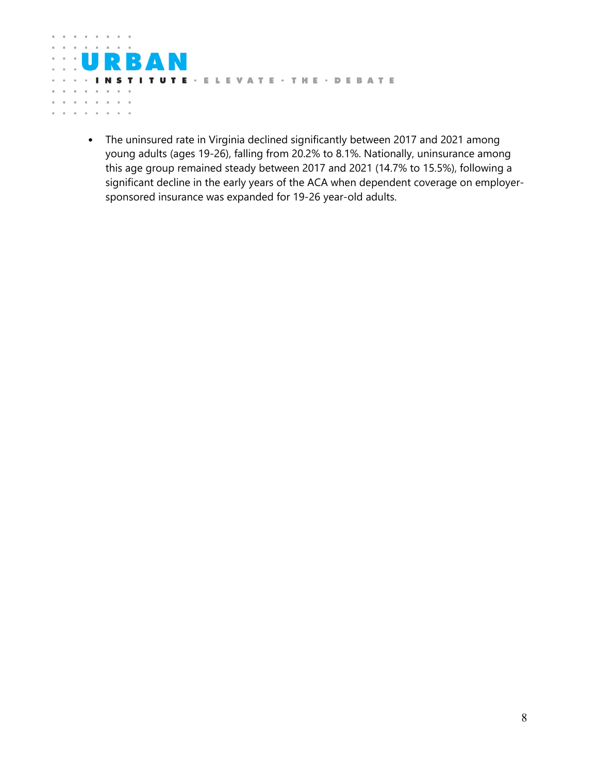

• The uninsured rate in Virginia declined significantly between 2017 and 2021 among young adults (ages 19-26), falling from 20.2% to 8.1%. Nationally, uninsurance among this age group remained steady between 2017 and 2021 (14.7% to 15.5%), following a significant decline in the early years of the ACA when dependent coverage on employersponsored insurance was expanded for 19-26 year-old adults.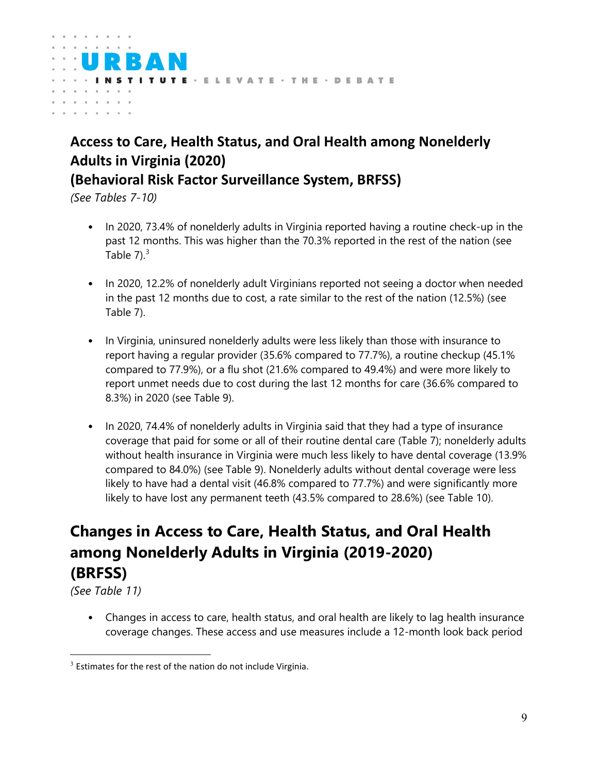

## **Access to Care, Health Status, and Oral Health among Nonelderly Adults in Virginia (2020)**

**(Behavioral Risk Factor Surveillance System, BRFSS)**

*(See Tables 7-10)*

- In 2020, 73.4% of nonelderly adults in Virginia reported having a routine check-up in the past 12 months. This was higher than the 70.3% reported in the rest of the nation (see Table 7). $3$
- In 2020, 12.2% of nonelderly adult Virginians reported not seeing a doctor when needed in the past 12 months due to cost, a rate similar to the rest of the nation (12.5%) (see Table 7).
- In Virginia, uninsured nonelderly adults were less likely than those with insurance to report having a regular provider (35.6% compared to 77.7%), a routine checkup (45.1% compared to 77.9%), or a flu shot (21.6% compared to 49.4%) and were more likely to report unmet needs due to cost during the last 12 months for care (36.6% compared to 8.3%) in 2020 (see Table 9).
- In 2020, 74.4% of nonelderly adults in Virginia said that they had a type of insurance coverage that paid for some or all of their routine dental care (Table 7); nonelderly adults without health insurance in Virginia were much less likely to have dental coverage (13.9% compared to 84.0%) (see Table 9). Nonelderly adults without dental coverage were less likely to have had a dental visit (46.8% compared to 77.7%) and were significantly more likely to have lost any permanent teeth (43.5% compared to 28.6%) (see Table 10).

## **Changes in Access to Care, Health Status, and Oral Health among Nonelderly Adults in Virginia (2019-2020) (BRFSS)**

*(See Table 11)*

• Changes in access to care, health status, and oral health are likely to lag health insurance coverage changes. These access and use measures include a 12-month look back period

<span id="page-8-0"></span> $3$  Estimates for the rest of the nation do not include Virginia.